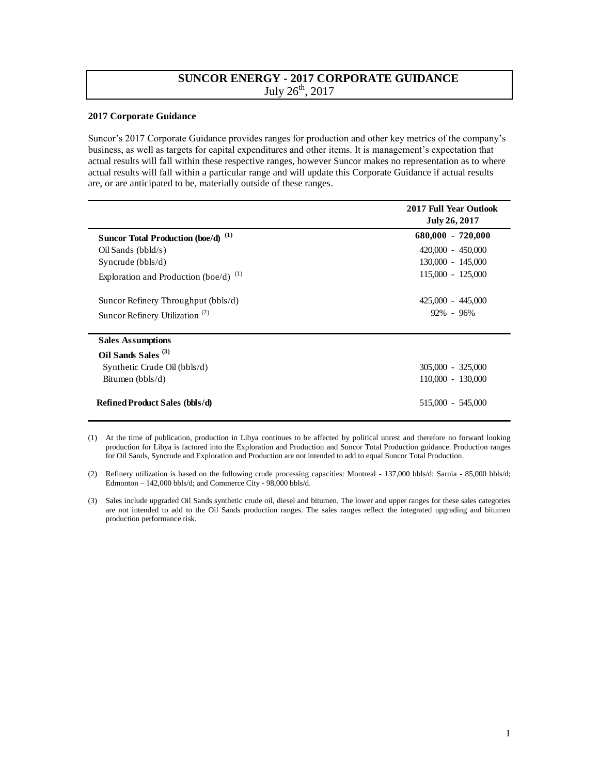## **SUNCOR ENERGY - 2017 CORPORATE GUIDANCE**  July  $26^{th}$ ,  $2017$

## **2017 Corporate Guidance**

Suncor's 2017 Corporate Guidance provides ranges for production and other key metrics of the company's business, as well as targets for capital expenditures and other items. It is management's expectation that actual results will fall within these respective ranges, however Suncor makes no representation as to where actual results will fall within a particular range and will update this Corporate Guidance if actual results are, or are anticipated to be, materially outside of these ranges.

|                                                | 2017 Full Year Outlook<br>July 26, 2017 |
|------------------------------------------------|-----------------------------------------|
| Suncor Total Production (boe/d) <sup>(1)</sup> | $680,000 - 720,000$                     |
| Oil Sands (bbld/s)                             | $420,000 - 450,000$                     |
| Syncrude $(bbls/d)$                            | 130,000 - 145,000                       |
| Exploration and Production (boe/d) $^{(1)}$    | 115,000 - 125,000                       |
| Suncor Refinery Throughput (bbls/d)            | 425,000 - 445,000                       |
| Suncor Refinery Utilization <sup>(2)</sup>     | $92\% - 96\%$                           |
| <b>Sales Assumptions</b>                       |                                         |
| Oil Sands Sales <sup>(3)</sup>                 |                                         |
| Synthetic Crude Oil (bbls/d)                   | $305,000 - 325,000$                     |
| Bitumen (bbls/d)                               | 110,000 - 130,000                       |
| <b>Refined Product Sales (bbls/d)</b>          | 515,000 - 545,000                       |

<sup>(1)</sup> At the time of publication, production in Libya continues to be affected by political unrest and therefore no forward looking production for Libya is factored into the Exploration and Production and Suncor Total Production guidance. Production ranges for Oil Sands, Syncrude and Exploration and Production are not intended to add to equal Suncor Total Production.

<sup>(2)</sup> Refinery utilization is based on the following crude processing capacities: Montreal - 137,000 bbls/d; Sarnia - 85,000 bbls/d; Edmonton – 142,000 bbls/d; and Commerce City - 98,000 bbls/d.

<sup>(3)</sup> Sales include upgraded Oil Sands synthetic crude oil, diesel and bitumen. The lower and upper ranges for these sales categories are not intended to add to the Oil Sands production ranges. The sales ranges reflect the integrated upgrading and bitumen production performance risk.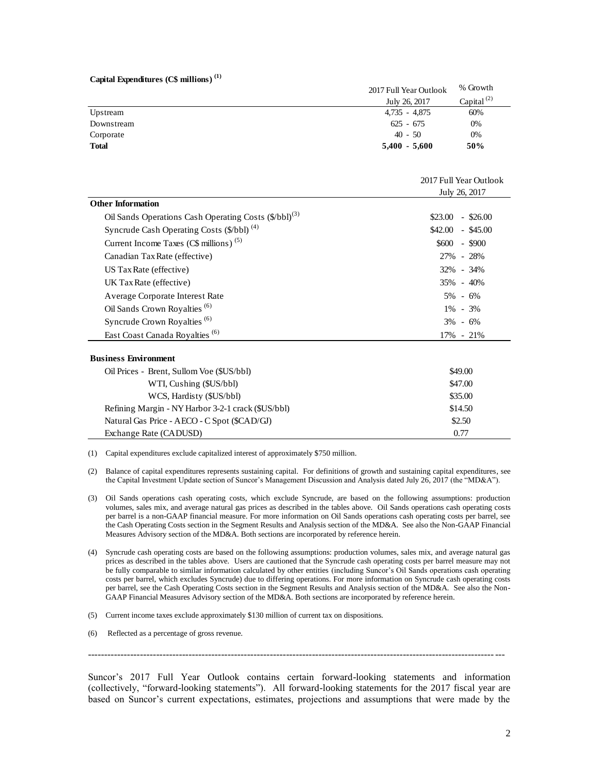|  | Capital Expenditures (C\$ millions) <sup>(1)</sup> |  |
|--|----------------------------------------------------|--|
|--|----------------------------------------------------|--|

|              | 2017 Full Year Outlook | % Growth         |
|--------------|------------------------|------------------|
|              | July 26, 2017          | Capital $^{(2)}$ |
| Upstream     | 4.735 - 4.875          | 60%              |
| Downstream   | $625 - 675$            | 0%               |
| Corporate    | $40 - 50$              | 0%               |
| <b>Total</b> | $5,400 - 5,600$        | 50%              |

|                                                                   | 2017 Full Year Outlook<br>July 26, 2017 |  |
|-------------------------------------------------------------------|-----------------------------------------|--|
| <b>Other Information</b>                                          |                                         |  |
| Oil Sands Operations Cash Operating Costs (\$/bbl) <sup>(3)</sup> | \$23.00<br>$-$ \$26.00                  |  |
| Syncrude Cash Operating Costs (\$/bbl) <sup>(4)</sup>             | $$42.00$ - \$45.00                      |  |
| Current Income Taxes ( $CS$ millions) <sup>(5)</sup>              | $$600 - $900$                           |  |
| Canadian Tax Rate (effective)                                     | 27% - 28%                               |  |
| US Tax Rate (effective)                                           | 32% - 34%                               |  |
| UK Tax Rate (effective)                                           | 35% - 40%                               |  |
| Average Corporate Interest Rate                                   | $5\% - 6\%$                             |  |
| Oil Sands Crown Royalties <sup>(6)</sup>                          | $1\% - 3\%$                             |  |
| Syncrude Crown Royalties <sup>(6)</sup>                           | $3\% - 6\%$                             |  |
| East Coast Canada Royalties <sup>(6)</sup>                        | $17\% - 21\%$                           |  |
| <b>Business Environment</b>                                       |                                         |  |
| Oil Prices - Brent, Sullom Voe (\$US/bbl)                         | \$49.00                                 |  |
| WTI, Cushing (\$US/bbl)                                           | \$47.00                                 |  |
| WCS, Hardisty (\$US/bbl)                                          | \$35.00                                 |  |
| Refining Margin - NY Harbor 3-2-1 crack (\$US/bbl)                | \$14.50                                 |  |
| Natural Gas Price - AECO - C Spot (\$CAD/GJ)                      | \$2.50                                  |  |
| Exchange Rate (CADUSD)                                            | 0.77                                    |  |

(1) Capital expenditures exclude capitalized interest of approximately \$750 million.

- (2) Balance of capital expenditures represents sustaining capital. For definitions of growth and sustaining capital expenditures, see the Capital Investment Update section of Suncor's Management Discussion and Analysis dated July 26, 2017 (the "MD&A").
- (3) Oil Sands operations cash operating costs, which exclude Syncrude, are based on the following assumptions: production volumes, sales mix, and average natural gas prices as described in the tables above. Oil Sands operations cash operating costs per barrel is a non-GAAP financial measure. For more information on Oil Sands operations cash operating costs per barrel, see the Cash Operating Costs section in the Segment Results and Analysis section of the MD&A. See also the Non-GAAP Financial Measures Advisory section of the MD&A. Both sections are incorporated by reference herein.
- (4) Syncrude cash operating costs are based on the following assumptions: production volumes, sales mix, and average natural gas prices as described in the tables above. Users are cautioned that the Syncrude cash operating costs per barrel measure may not be fully comparable to similar information calculated by other entities (including Suncor's Oil Sands operations cash operating costs per barrel, which excludes Syncrude) due to differing operations. For more information on Syncrude cash operating costs per barrel, see the Cash Operating Costs section in the Segment Results and Analysis section of the MD&A. See also the Non-GAAP Financial Measures Advisory section of the MD&A. Both sections are incorporated by reference herein.
- (5) Current income taxes exclude approximately \$130 million of current tax on dispositions.
- (6) Reflected as a percentage of gross revenue.

 $-1.1$ 

Suncor's 2017 Full Year Outlook contains certain forward-looking statements and information (collectively, "forward-looking statements"). All forward-looking statements for the 2017 fiscal year are based on Suncor's current expectations, estimates, projections and assumptions that were made by the